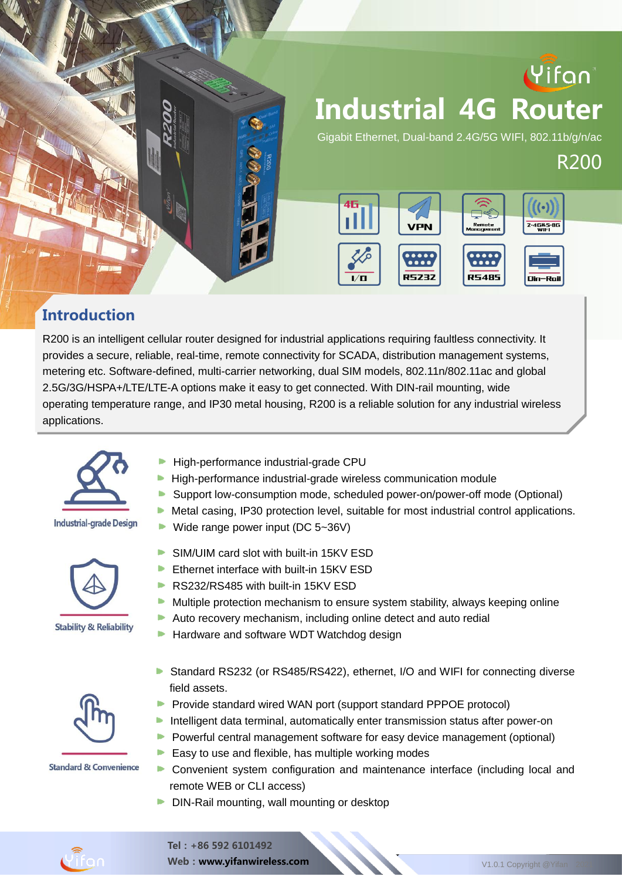

#### **Introduction**

R200 is an intelligent cellular router designed for industrial applications requiring faultless connectivity. It provides a secure, reliable, real-time, remote connectivity for SCADA, distribution management systems, metering etc. Software-defined, multi-carrier networking, dual SIM models, 802.11n/802.11ac and global 2.5G/3G/HSPA+/LTE/LTE-A options make it easy to get connected. With DIN-rail mounting, wide operating temperature range, and IP30 metal housing, R200 is a reliable solution for any industrial wireless applications.



#### **Industrial-grade Design**



- . The product has been widely used in the M2M industry of the IoT industry of the IoT industrial chain, such as small grid, such as small chain, such as small chain, such as small chain, such as small chain, such as small High-performance industrial-grade CPU
- $\bigcap_{n=1}^{\infty}$ High-performance industrial-grade wireless communication module
	- Support low-consumption mode, scheduled power-on/power-off mode (Optional)
	- $\blacktriangleright$  Metal casing, IP30 protection level, suitable for most industrial control applications.
	- ▶ Wide range power input ( $DC$  5~36V)
	- SIM/UIM card slot with built-in 15KV ESD
	- b. Ethernet interface with built-in 15KV ESD
	- RS232/RS485 with built-in 15KV ESD
	- $\blacktriangleright$  Multiple protection mechanism to ensure system stability, always keeping online
	- Auto recovery mechanism, including online detect and auto redial
	- ▶ Hardware and software WDT Watchdog design



**Standard & Convenience** 

- Standard RS232 (or RS485/RS422), ethernet, I/O and WIFI for connecting diverse field assets.
- **Provide standard wired WAN port (support standard PPPOE protocol)**
- **Intelligent data terminal, automatically enter transmission status after power-on**
- **P** Powerful central management software for easy device management (optional)
- $\blacktriangleright$  Easy to use and flexible, has multiple working modes
- Convenient system configuration and maintenance interface (including local and remote WEB or CLI access)
- DIN-Rail mounting, wall mounting or desktop



Web: www.yifanwireless.com V1.0.1 Copyright @Yifan 2021

R200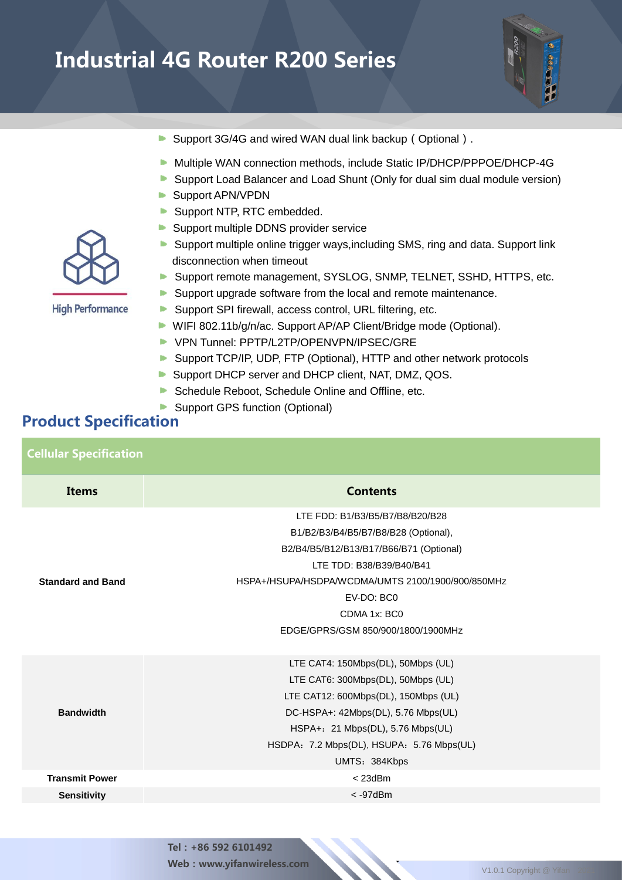

- Support 3G/4G and wired WAN dual link backup (Optional).
- Multiple WAN connection methods, include Static IP/DHCP/PPPOE/DHCP-4G
- **Support Load Balancer and Load Shunt (Only for dual sim dual module version)**
- Support APN/VPDN
- Support NTP, RTC embedded.
- Support multiple DDNS provider service
- **Support multiple online trigger ways, including SMS, ring and data. Support link** disconnection when timeout
- Support remote management, SYSLOG, SNMP, TELNET, SSHD, HTTPS, etc.
- Support upgrade software from the local and remote maintenance.
- Support SPI firewall, access control, URL filtering, etc.
- WIFI 802.11b/g/n/ac. Support AP/AP Client/Bridge mode (Optional).
- VPN Tunnel: PPTP/L2TP/OPENVPN/IPSEC/GRE
- Support TCP/IP, UDP, FTP (Optional), HTTP and other network protocols
- Support DHCP server and DHCP client, NAT, DMZ, QOS.
- Schedule Reboot, Schedule Online and Offline, etc.
- Support GPS function (Optional)

#### Product Specification

| <b>Cellular Specification</b> |                                                                                                                                                                                                                                                                         |  |  |  |  |  |  |
|-------------------------------|-------------------------------------------------------------------------------------------------------------------------------------------------------------------------------------------------------------------------------------------------------------------------|--|--|--|--|--|--|
| <b>Items</b>                  | <b>Contents</b>                                                                                                                                                                                                                                                         |  |  |  |  |  |  |
| <b>Standard and Band</b>      | LTE FDD: B1/B3/B5/B7/B8/B20/B28<br>B1/B2/B3/B4/B5/B7/B8/B28 (Optional),<br>B2/B4/B5/B12/B13/B17/B66/B71 (Optional)<br>LTE TDD: B38/B39/B40/B41<br>HSPA+/HSUPA/HSDPA/WCDMA/UMTS 2100/1900/900/850MHz<br>EV-DO: BC0<br>CDMA 1x: BC0<br>EDGE/GPRS/GSM 850/900/1800/1900MHz |  |  |  |  |  |  |
| <b>Bandwidth</b>              | LTE CAT4: 150Mbps(DL), 50Mbps (UL)<br>LTE CAT6: 300Mbps(DL), 50Mbps (UL)<br>LTE CAT12: 600Mbps(DL), 150Mbps (UL)<br>DC-HSPA+: 42Mbps(DL), 5.76 Mbps(UL)<br>HSPA+: 21 Mbps(DL), 5.76 Mbps(UL)<br>HSDPA: 7.2 Mbps(DL), HSUPA: 5.76 Mbps(UL)<br>UMTS: 384Kbps              |  |  |  |  |  |  |
| <b>Transmit Power</b>         | $<$ 23dBm                                                                                                                                                                                                                                                               |  |  |  |  |  |  |
| <b>Sensitivity</b>            | $<$ -97 $dBm$                                                                                                                                                                                                                                                           |  |  |  |  |  |  |

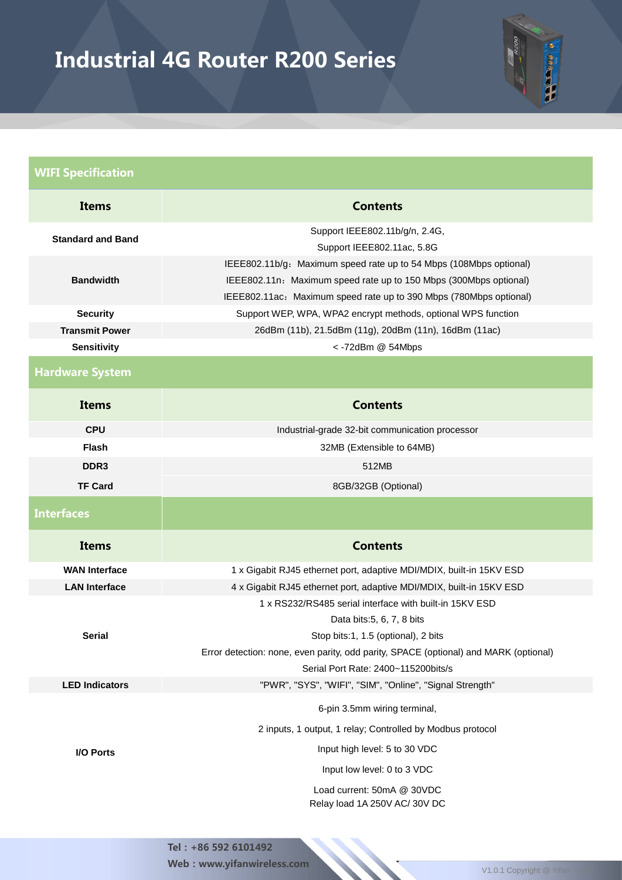

| <b>WIFI Specification</b>                   |                                                                                                                                                                                                               |  |  |  |  |  |  |
|---------------------------------------------|---------------------------------------------------------------------------------------------------------------------------------------------------------------------------------------------------------------|--|--|--|--|--|--|
| <b>Items</b>                                | <b>Contents</b>                                                                                                                                                                                               |  |  |  |  |  |  |
| <b>Standard and Band</b>                    | Support IEEE802.11b/g/n, 2.4G,<br>Support IEEE802.11ac, 5.8G                                                                                                                                                  |  |  |  |  |  |  |
| <b>Bandwidth</b>                            | IEEE802.11b/g: Maximum speed rate up to 54 Mbps (108Mbps optional)<br>IEEE802.11n: Maximum speed rate up to 150 Mbps (300Mbps optional)<br>IEEE802.11ac: Maximum speed rate up to 390 Mbps (780Mbps optional) |  |  |  |  |  |  |
| <b>Security</b>                             | Support WEP, WPA, WPA2 encrypt methods, optional WPS function                                                                                                                                                 |  |  |  |  |  |  |
| <b>Transmit Power</b><br><b>Sensitivity</b> | 26dBm (11b), 21.5dBm (11g), 20dBm (11n), 16dBm (11ac)<br><- 72dBm @ 54Mbps                                                                                                                                    |  |  |  |  |  |  |
|                                             |                                                                                                                                                                                                               |  |  |  |  |  |  |
| <b>Hardware System</b>                      |                                                                                                                                                                                                               |  |  |  |  |  |  |
| <b>Items</b>                                | <b>Contents</b>                                                                                                                                                                                               |  |  |  |  |  |  |
| <b>CPU</b>                                  | Industrial-grade 32-bit communication processor                                                                                                                                                               |  |  |  |  |  |  |
| <b>Flash</b>                                | 32MB (Extensible to 64MB)                                                                                                                                                                                     |  |  |  |  |  |  |
| DDR <sub>3</sub>                            | 512MB                                                                                                                                                                                                         |  |  |  |  |  |  |
| <b>TF Card</b>                              | 8GB/32GB (Optional)                                                                                                                                                                                           |  |  |  |  |  |  |
| <b>Interfaces</b>                           |                                                                                                                                                                                                               |  |  |  |  |  |  |
| <b>Items</b>                                | <b>Contents</b>                                                                                                                                                                                               |  |  |  |  |  |  |
| <b>WAN Interface</b>                        | 1 x Gigabit RJ45 ethernet port, adaptive MDI/MDIX, built-in 15KV ESD                                                                                                                                          |  |  |  |  |  |  |
| <b>LAN Interface</b>                        | 4 x Gigabit RJ45 ethernet port, adaptive MDI/MDIX, built-in 15KV ESD                                                                                                                                          |  |  |  |  |  |  |
|                                             | 1 x RS232/RS485 serial interface with built-in 15KV ESD                                                                                                                                                       |  |  |  |  |  |  |
| <b>Serial</b>                               | Data bits: 5, 6, 7, 8 bits                                                                                                                                                                                    |  |  |  |  |  |  |
|                                             | Stop bits:1, 1.5 (optional), 2 bits<br>Error detection: none, even parity, odd parity, SPACE (optional) and MARK (optional)                                                                                   |  |  |  |  |  |  |
|                                             | Serial Port Rate: 2400~115200bits/s                                                                                                                                                                           |  |  |  |  |  |  |
| <b>LED Indicators</b>                       | "PWR", "SYS", "WIFI", "SIM", "Online", "Signal Strength"                                                                                                                                                      |  |  |  |  |  |  |
|                                             | 6-pin 3.5mm wiring terminal,                                                                                                                                                                                  |  |  |  |  |  |  |
|                                             | 2 inputs, 1 output, 1 relay; Controlled by Modbus protocol                                                                                                                                                    |  |  |  |  |  |  |
| I/O Ports                                   | Input high level: 5 to 30 VDC                                                                                                                                                                                 |  |  |  |  |  |  |
|                                             | Input low level: 0 to 3 VDC                                                                                                                                                                                   |  |  |  |  |  |  |
|                                             | Load current: 50mA @ 30VDC<br>Relay load 1A 250V AC/30V DC                                                                                                                                                    |  |  |  |  |  |  |

Web:www.yifanwireless.com V1.0.1 Copyright @ Yifan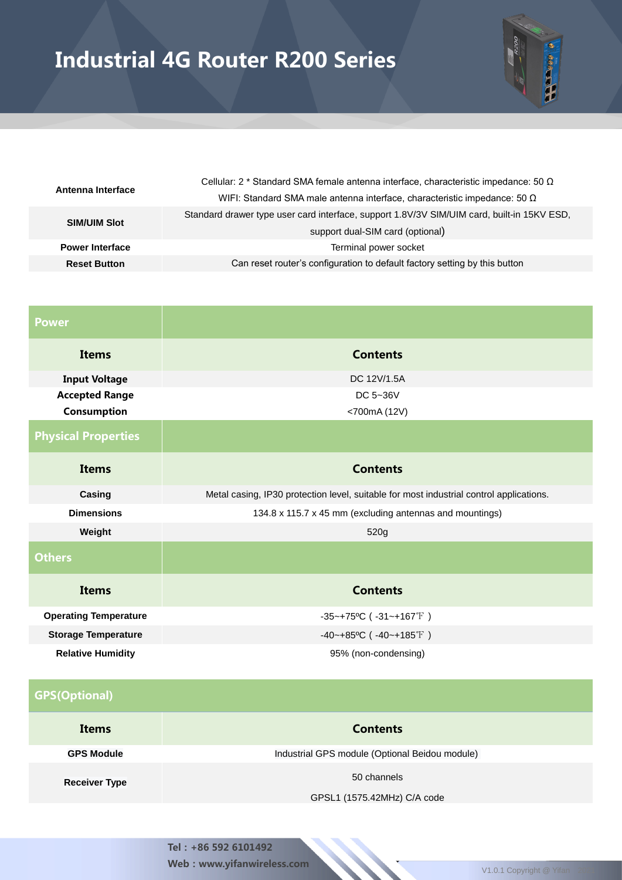

| Antenna Interface      | Cellular: 2 * Standard SMA female antenna interface, characteristic impedance: 50 $\Omega$ |  |  |
|------------------------|--------------------------------------------------------------------------------------------|--|--|
|                        | WIFI: Standard SMA male antenna interface, characteristic impedance: 50 $\Omega$           |  |  |
| <b>SIM/UIM Slot</b>    | Standard drawer type user card interface, support 1.8V/3V SIM/UIM card, built-in 15KV ESD, |  |  |
|                        | support dual-SIM card (optional)                                                           |  |  |
| <b>Power Interface</b> | Terminal power socket                                                                      |  |  |
| <b>Reset Button</b>    | Can reset router's configuration to default factory setting by this button                 |  |  |

| <b>Power</b>                 |                                                                                         |  |  |  |  |  |  |
|------------------------------|-----------------------------------------------------------------------------------------|--|--|--|--|--|--|
| <b>Items</b>                 | <b>Contents</b>                                                                         |  |  |  |  |  |  |
| <b>Input Voltage</b>         | DC 12V/1.5A                                                                             |  |  |  |  |  |  |
| <b>Accepted Range</b>        | DC 5~36V                                                                                |  |  |  |  |  |  |
| Consumption                  | <700mA (12V)                                                                            |  |  |  |  |  |  |
| <b>Physical Properties</b>   |                                                                                         |  |  |  |  |  |  |
| <b>Items</b>                 | <b>Contents</b>                                                                         |  |  |  |  |  |  |
| Casing                       | Metal casing, IP30 protection level, suitable for most industrial control applications. |  |  |  |  |  |  |
| <b>Dimensions</b>            | 134.8 x 115.7 x 45 mm (excluding antennas and mountings)                                |  |  |  |  |  |  |
| Weight                       | 520g                                                                                    |  |  |  |  |  |  |
| <b>Others</b>                |                                                                                         |  |  |  |  |  |  |
| <b>Items</b>                 | <b>Contents</b>                                                                         |  |  |  |  |  |  |
| <b>Operating Temperature</b> | $-35-+75$ °C ( $-31-+167$ °F)                                                           |  |  |  |  |  |  |
| <b>Storage Temperature</b>   | $-40$ ~+85°C ( $-40$ ~+185°F)                                                           |  |  |  |  |  |  |
| <b>Relative Humidity</b>     | 95% (non-condensing)                                                                    |  |  |  |  |  |  |

| <b>GPS(Optional)</b> |                                                |
|----------------------|------------------------------------------------|
| Items                | <b>Contents</b>                                |
| <b>GPS Module</b>    | Industrial GPS module (Optional Beidou module) |
| <b>Receiver Type</b> | 50 channels                                    |

GPSL1 (1575.42MHz) C/A code

Tel:+86 592 6101492 Web : www.yifanwireless.com V1.0.1 Copyright @ Yifan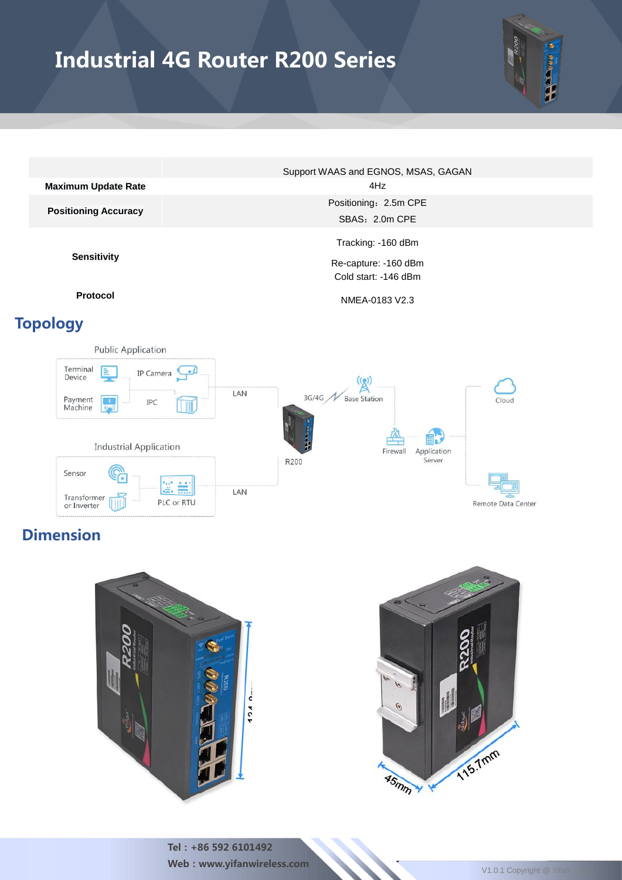

|                             | Support WAAS and EGNOS, MSAS, GAGAN |  |  |  |  |  |
|-----------------------------|-------------------------------------|--|--|--|--|--|
| <b>Maximum Update Rate</b>  | 4Hz                                 |  |  |  |  |  |
|                             | Positioning: 2.5m CPE               |  |  |  |  |  |
| <b>Positioning Accuracy</b> | SBAS: 2.0m CPE                      |  |  |  |  |  |
|                             | Tracking: -160 dBm                  |  |  |  |  |  |
| <b>Sensitivity</b>          | Re-capture: -160 dBm                |  |  |  |  |  |

### Topology

**Protocol** NMEA-0183 V2.3

Cold start: -146 dBm



## Dimension





Tel:+86 592 6101492 Web : www.yifanwireless.com V1.0.1 Copyright @ Yifan